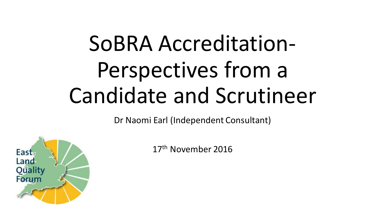# SoBRA Accreditation-Perspectives from a Candidate and Scrutineer

Dr Naomi Earl (Independent Consultant)



17th November 2016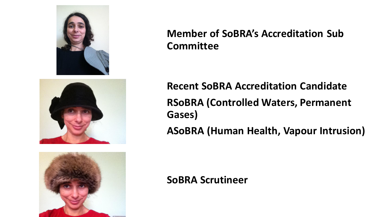



#### **Member of SoBRA's Accreditation Sub Committee**

**Recent SoBRA Accreditation Candidate RSoBRA (Controlled Waters, Permanent Gases) ASoBRA (Human Health, Vapour Intrusion)**

#### **SoBRA Scrutineer**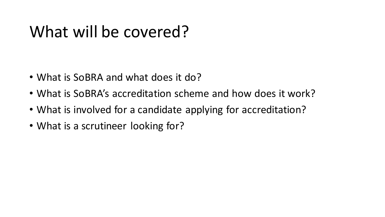### What will be covered?

- What is SoBRA and what does it do?
- What is SoBRA's accreditation scheme and how does it work?
- What is involved for a candidate applying for accreditation?
- What is a scrutineer looking for?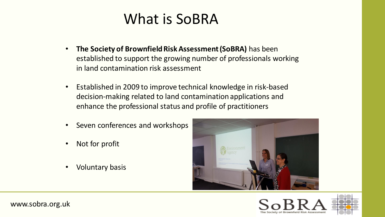#### What is SoBRA

- **The Society of Brownfield Risk Assessment (SoBRA)** has been established to support the growing number of professionals working in land contamination risk assessment
- Established in 2009 to improve technical knowledge in risk-based decision-making related to land contamination applications and enhance the professional status and profile of practitioners
- Seven conferences and workshops
- Not for profit
- Voluntary basis





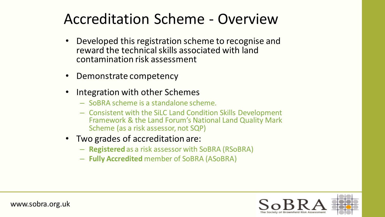#### Accreditation Scheme - Overview

- Developed this registration scheme to recognise and reward the technical skills associated with land contamination risk assessment
- Demonstrate competency
- Integration with other Schemes
	- SoBRA scheme is a standalone scheme.
	- Consistent with the SiLC Land Condition Skills Development Framework & the Land Forum's National Land Quality Mark Scheme (as a risk assessor, not SQP)
- Two grades of accreditation are:
	- **Registered** as a risk assessor with SoBRA (RSoBRA)
	- **Fully Accredited** member of SoBRA (ASoBRA)





www.sobra.org.uk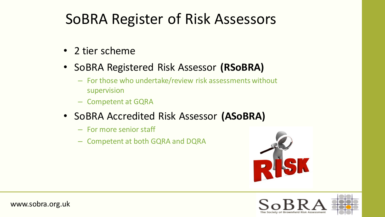#### SoBRA Register of Risk Assessors

- 2 tier scheme
- SoBRA Registered Risk Assessor **(RSoBRA)**
	- For those who undertake/review risk assessments without supervision
	- Competent at GQRA
- SoBRA Accredited Risk Assessor **(ASoBRA)**
	- For more senior staff
	- Competent at both GQRA and DQRA



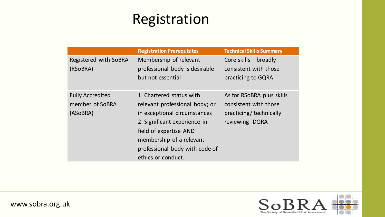#### Registration

|                                                        | <b>Registration Prerequisites</b>                                                                                                                                                                                                        | <b>Technical Skills Summary</b>                                                                 |
|--------------------------------------------------------|------------------------------------------------------------------------------------------------------------------------------------------------------------------------------------------------------------------------------------------|-------------------------------------------------------------------------------------------------|
| Registered with SoBRA<br>(RSoBRA)                      | Membership of relevant<br>professional body is desirable<br>but not essential                                                                                                                                                            | Core skills - broadly<br>consistent with those<br>practicing to GQRA                            |
| <b>Fully Accredited</b><br>member of SoBRA<br>(ASoBRA) | 1. Chartered status with<br>relevant professional body; or<br>in exceptional circumstances<br>2. Significant experience in<br>field of expertise AND<br>membership of a relevant<br>professional body with code of<br>ethics or conduct. | As for RSoBRA plus skills<br>consistent with those<br>practicing/ technically<br>reviewing DQRA |





www.sobra.org.uk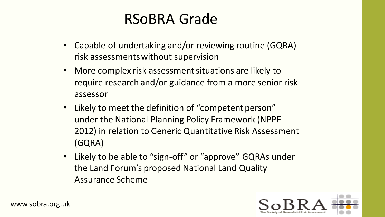#### RSoBRA Grade

- Capable of undertaking and/or reviewing routine (GQRA) risk assessments without supervision
- More complex risk assessment situations are likely to require research and/or guidance from a more senior risk assessor
- Likely to meet the definition of "competent person" under the National Planning Policy Framework (NPPF 2012) in relation to Generic Quantitative Risk Assessment (GQRA)
- Likely to be able to "sign-off" or "approve" GQRAs under the Land Forum's proposed National Land Quality Assurance Scheme

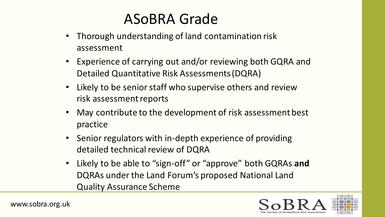#### ASoBRA Grade

- Thorough understanding of land contamination risk assessment
- Experience of carrying out and/or reviewing both GQRA and Detailed Quantitative Risk Assessments (DQRA)
- Likely to be senior staff who supervise others and review risk assessment reports
- May contribute to the development of risk assessment best practice
- Senior regulators with in-depth experience of providing detailed technical review of DQRA
- Likely to be able to "sign-off" or "approve" both GQRAs **and**  DQRAs under the Land Forum's proposed National Land Quality Assurance Scheme

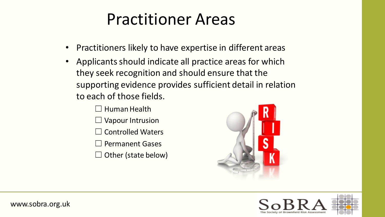#### Practitioner Areas

- Practitioners likely to have expertise in different areas
- Applicants should indicate all practice areas for which they seek recognition and should ensure that the supporting evidence provides sufficient detail in relation to each of those fields.
	- ☐ Human Health
	- $\Box$  Vapour Intrusion
	- Controlled Waters
	- ☐ Permanent Gases
	- $\Box$  Other (state below)





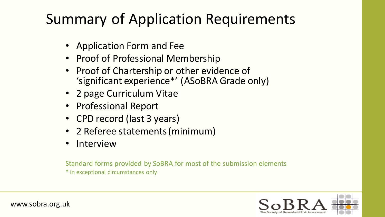#### Summary of Application Requirements

- Application Form and Fee
- Proof of Professional Membership
- Proof of Chartership or other evidence of 'significant experience\*' (ASoBRA Grade only)
- 2 page Curriculum Vitae
- Professional Report
- CPD record (last 3 years)
- 2 Referee statements (minimum)
- **Interview**

Standard forms provided by SoBRA for most of the submission elements \* in exceptional circumstances only



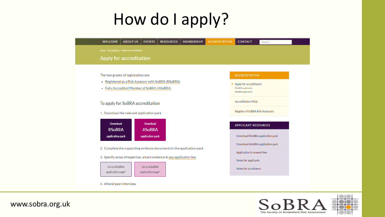## How do I apply?



The Society of Brownfield Risk Assessment

www.sobra.org.uk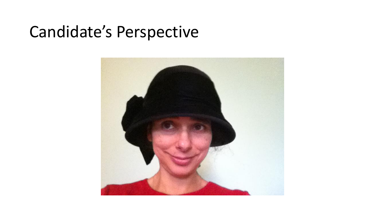#### Candidate's Perspective

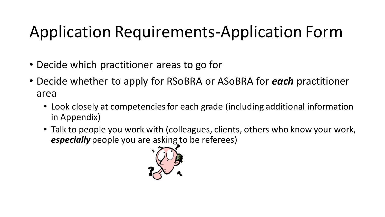## Application Requirements-Application Form

- Decide which practitioner areas to go for
- Decide whether to apply for RSoBRA or ASoBRA for *each* practitioner area
	- Look closely at competencies for each grade (including additional information in Appendix)
	- Talk to people you work with (colleagues, clients, others who know your work, *especially* people you are asking to be referees)

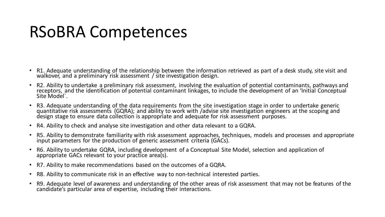#### RSoBRA Competences

- R1. Adequate understanding of the relationship between the information retrieved as part of a desk study, site visit and walkover, and a preliminary risk assessment / site investigation design.
- R2. Ability to undertake a preliminary risk assessment, involving the evaluation of potential contaminants, pathways and receptors, and the identification of potential contaminant linkages, to include the development of an 'Initial Conceptual Site Model`.
- R3. Adequate understanding of the data requirements from the site investigation stage in order to undertake generic quantitative risk assessments (GQRA); and ability to work with /advise site investigation engineers at the scoping and design stage to ensure data collection is appropriate and adequate for risk assessment purposes.
- R4. Ability to check and analyse site investigation and other data relevant to a GQRA.
- R5. Ability to demonstrate familiarity with risk assessment approaches, techniques, models and processes and appropriate input parameters for the production of generic assessment criteria (GACs).
- R6. Ability to undertake GQRA, including development of a Conceptual Site Model, selection and application of appropriate GACs relevant to your practice area(s).
- R7. Ability to make recommendations based on the outcomes of a GQRA.
- R8. Ability to communicate risk in an effective way to non-technical interested parties.
- R9. Adequate level of awareness and understanding of the other areas of risk assessment that may not be features of the candidate's particular area of expertise, including their interactions.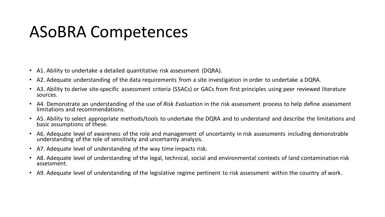#### ASoBRA Competences

- A1. Ability to undertake a detailed quantitative risk assessment (DQRA).
- A2. Adequate understanding of the data requirements from a site investigation in order to undertake a DQRA.
- A3. Ability to derive site-specific assessment criteria (SSACs) or GACs from first principles using peer reviewed literature sources.
- A4. Demonstrate an understanding of the use of *Risk Evaluation* in the risk assessment process to help define assessment limitations and recommendations.
- A5. Ability to select appropriate methods/tools to undertake the DQRA and to understand and describe the limitations and basic assumptions of these.
- A6. Adequate level of awareness of the role and management of uncertainty in risk assessments including demonstrable understanding of the role of sensitivity and uncertainty analysis.
- A7. Adequate level of understanding of the way time impacts risk.
- A8. Adequate level of understanding of the legal, technical, social and environmental contexts of land contamination risk assessment.
- A9. Adequate level of understanding of the legislative regime pertinent to risk assessment within the country of work.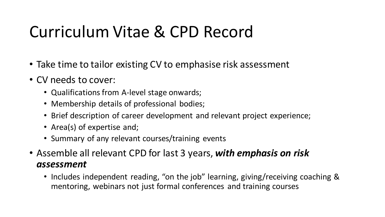### Curriculum Vitae & CPD Record

- Take time to tailor existing CV to emphasise risk assessment
- CV needs to cover:
	- Qualifications from A-level stage onwards;
	- Membership details of professional bodies;
	- Brief description of career development and relevant project experience;
	- Area(s) of expertise and;
	- Summary of any relevant courses/training events
- Assemble all relevant CPD for last 3 years, *with emphasis on risk assessment*
	- Includes independent reading, "on the job" learning, giving/receiving coaching & mentoring, webinars not just formal conferences and training courses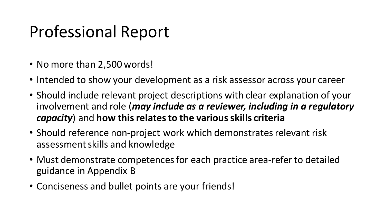### Professional Report

- No more than 2,500 words!
- Intended to show your development as a risk assessor across your career
- Should include relevant project descriptions with clear explanation of your involvement and role (*may include as a reviewer, including in a regulatory capacity*) and **how this relates to the various skills criteria**
- Should reference non-project work which demonstrates relevant risk assessment skills and knowledge
- Must demonstrate competences for each practice area-refer to detailed guidance in Appendix B
- Conciseness and bullet points are your friends!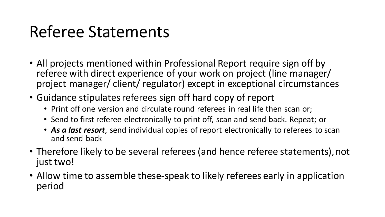#### Referee Statements

- All projects mentioned within Professional Report require sign off by referee with direct experience of your work on project (line manager/ project manager/ client/ regulator) except in exceptional circumstances
- Guidance stipulates referees sign off hard copy of report
	- Print off one version and circulate round referees in real life then scan or;
	- Send to first referee electronically to print off, scan and send back. Repeat; or
	- *As a last resort*, send individual copies of report electronically to referees to scan and send back
- Therefore likely to be several referees (and hence referee statements), not just two!
- Allow time to assemble these-speak to likely referees early in application period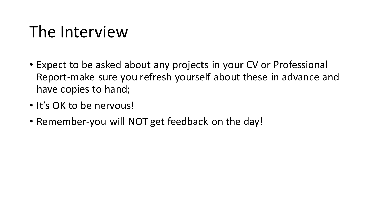### The Interview

- Expect to be asked about any projects in your CV or Professional Report-make sure you refresh yourself about these in advance and have copies to hand;
- It's OK to be nervous!
- Remember-you will NOT get feedback on the day!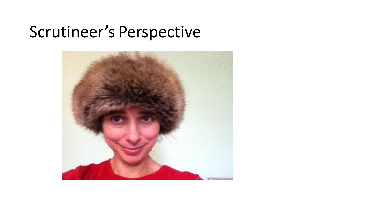#### Scrutineer's Perspective

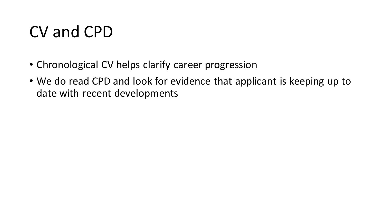#### CV and CPD

- Chronological CV helps clarify career progression
- We do read CPD and look for evidence that applicant is keeping up to date with recent developments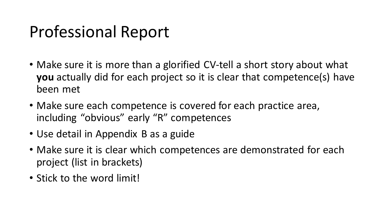### Professional Report

- Make sure it is more than a glorified CV-tell a short story about what **you** actually did for each project so it is clear that competence(s) have been met
- Make sure each competence is covered for each practice area, including "obvious" early "R" competences
- Use detail in Appendix B as a guide
- Make sure it is clear which competences are demonstrated for each project (list in brackets)
- Stick to the word limit!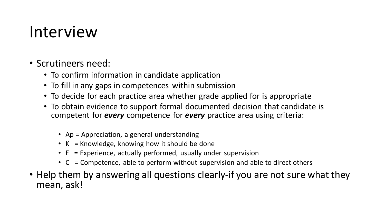#### Interview

- Scrutineers need:
	- To confirm information in candidate application
	- To fill in any gaps in competences within submission
	- To decide for each practice area whether grade applied for is appropriate
	- To obtain evidence to support formal documented decision that candidate is competent for *every* competence for *every* practice area using criteria:
		- Ap = Appreciation, a general understanding
		- K = Knowledge, knowing how it should be done
		- E = Experience, actually performed, usually under supervision
		- $C =$  C competence, able to perform without supervision and able to direct others
- Help them by answering all questions clearly-if you are not sure what they mean, ask!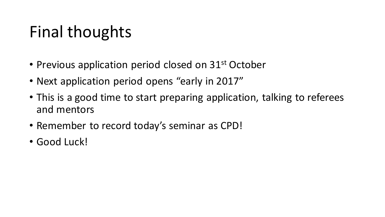## Final thoughts

- Previous application period closed on 31<sup>st</sup> October
- Next application period opens "early in 2017"
- This is a good time to start preparing application, talking to referees and mentors
- Remember to record today's seminar as CPD!
- Good Luck!